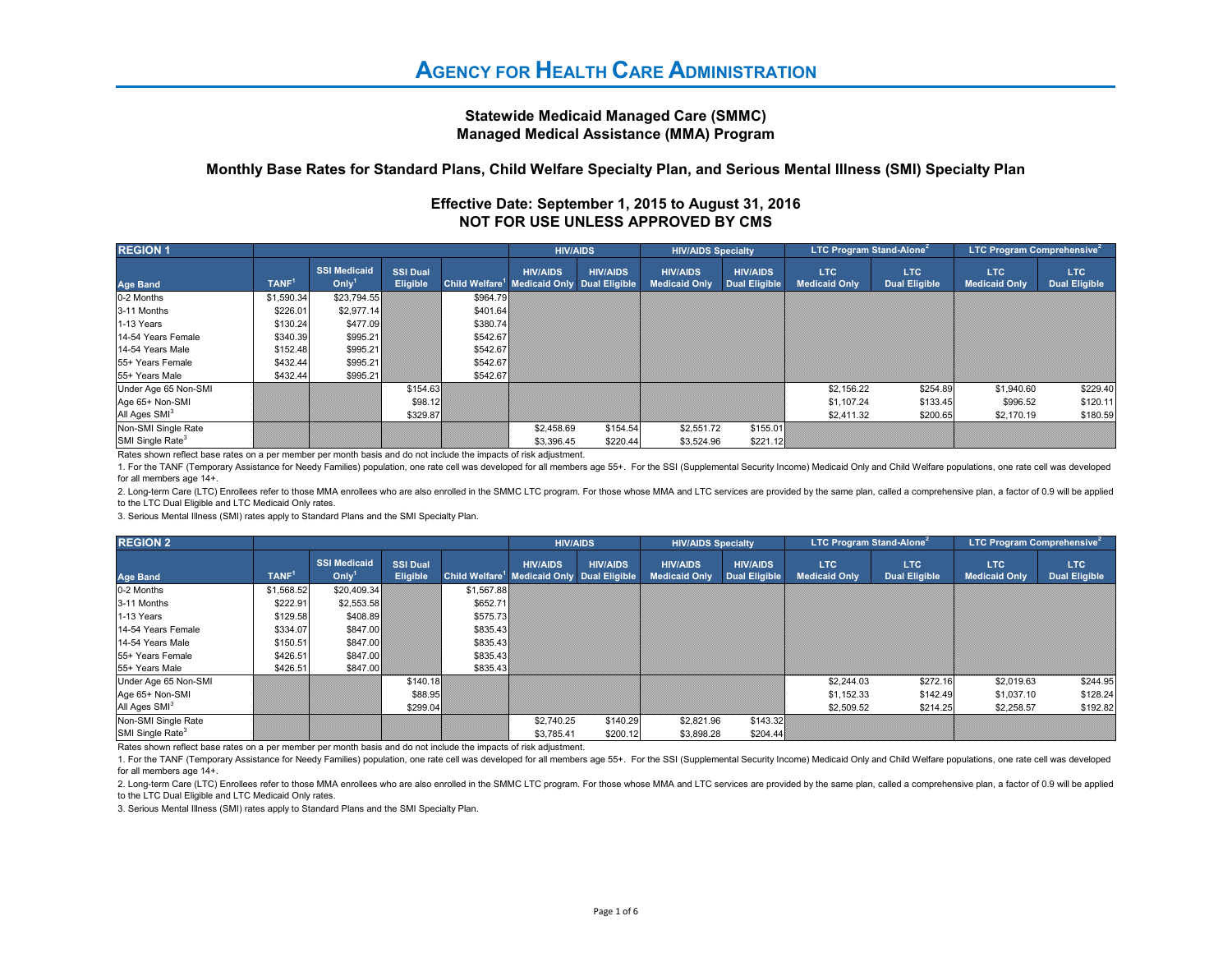## **Statewide Medicaid Managed Care (SMMC)Managed Medical Assistance (MMA) Program**

## **Monthly Base Rates for Standard Plans, Child Welfare Specialty Plan, and Serious Mental Illness (SMI) Specialty Plan**

| Effective Date: September 1, 2015 to August 31, 2016 |  |
|------------------------------------------------------|--|
| NOT FOR USE UNLESS APPROVED BY CMS                   |  |

| <b>REGION 1</b>                                                                                                   |                   |                                    |                                    |          | <b>HIV/AIDS</b>                                                           |                 | <b>HIV/AIDS Specialty</b>               |                                         | <b>LTC Program Stand-Alone</b> <sup>2</sup> |                              | <b>LTC Program Comprehensive</b> <sup>2</sup> |                                    |
|-------------------------------------------------------------------------------------------------------------------|-------------------|------------------------------------|------------------------------------|----------|---------------------------------------------------------------------------|-----------------|-----------------------------------------|-----------------------------------------|---------------------------------------------|------------------------------|-----------------------------------------------|------------------------------------|
| <b>Age Band</b>                                                                                                   | TANF <sup>1</sup> | <b>SSI Medicaid</b><br>On <i>l</i> | <b>SSI Dual</b><br><b>Eligible</b> |          | <b>HIV/AIDS</b><br>Child Welfare <sup>1</sup> Medicaid Only Dual Eligible | <b>HIV/AIDS</b> | <b>HIV/AIDS</b><br><b>Medicaid Only</b> | <b>HIV/AIDS</b><br><b>Dual Eligible</b> | <b>LTC</b><br><b>Medicaid Only</b>          | LTC.<br><b>Dual Eligible</b> | LTC<br><b>Medicaid Only</b>                   | <b>LTC</b><br><b>Dual Eligible</b> |
| 0-2 Months                                                                                                        | \$1,590.34        | \$23.794.55                        |                                    | \$964.79 |                                                                           |                 |                                         |                                         |                                             |                              |                                               |                                    |
| 3-11 Months                                                                                                       | \$226.01          | \$2,977.14                         |                                    | \$401.64 |                                                                           |                 |                                         |                                         |                                             |                              |                                               |                                    |
| 1-13 Years                                                                                                        | \$130.24          | \$477.09                           |                                    | \$380.74 |                                                                           |                 |                                         |                                         |                                             |                              |                                               |                                    |
| 14-54 Years Female                                                                                                | \$340.39          | \$995.21                           |                                    | \$542.67 |                                                                           |                 |                                         |                                         |                                             |                              |                                               |                                    |
| 14-54 Years Male                                                                                                  | \$152.48          | \$995.21                           |                                    | \$542.67 |                                                                           |                 |                                         |                                         |                                             |                              |                                               |                                    |
| 55+ Years Female                                                                                                  | \$432.44          | \$995.21                           |                                    | \$542.67 |                                                                           |                 |                                         |                                         |                                             |                              |                                               |                                    |
| 55+ Years Male                                                                                                    | \$432.44          | \$995.21                           |                                    | \$542.67 |                                                                           |                 |                                         |                                         |                                             |                              |                                               |                                    |
| Under Age 65 Non-SMI                                                                                              |                   |                                    | \$154.63                           |          |                                                                           |                 |                                         |                                         | \$2,156.22                                  | \$254.89                     | \$1,940.60                                    | \$229.40                           |
| Age 65+ Non-SMI                                                                                                   |                   |                                    | \$98.12                            |          |                                                                           |                 |                                         |                                         | \$1,107.24                                  | \$133.45                     | \$996.52                                      | \$120.11                           |
| All Ages SMI <sup>3</sup>                                                                                         |                   |                                    | \$329.87                           |          |                                                                           |                 |                                         |                                         | \$2,411.32                                  | \$200.65                     | \$2,170.19                                    | \$180.59                           |
| Non-SMI Single Rate                                                                                               |                   |                                    |                                    |          | \$2,458.69                                                                | \$154.54        | \$2,551.72                              | \$155.01                                |                                             |                              |                                               |                                    |
| SMI Single Rate <sup>3</sup>                                                                                      |                   |                                    |                                    |          | \$3.396.45                                                                | \$220.44        | \$3,524.96                              | \$221.12                                |                                             |                              |                                               |                                    |
| Rates shown reflect base rates on a per member per month basis and do not include the impacts of risk adjustment. |                   |                                    |                                    |          |                                                                           |                 |                                         |                                         |                                             |                              |                                               |                                    |

1. For the TANF (Temporary Assistance for Needy Families) population, one rate cell was developed for all members age 55+. For the SSI (Supplemental Security Income) Medicaid Only and Child Welfare populations, one rate ce for all members age 14+.

2. Long-term Care (LTC) Enrollees refer to those MMA enrollees who are also enrolled in the SMMC LTC program. For those whose MMA and LTC services are provided by the same plan, called a comprehensive plan, a factor of 0.9 to the LTC Dual Eligible and LTC Medicaid Only rates.

3. Serious Mental Illness (SMI) rates apply to Standard Plans and the SMI Specialty Plan.

| <b>REGION 2</b>                                                                                                   |                   |                                                 |                             |            | <b>HIV/AIDS</b>                                                           |                 | <b>HIV/AIDS Specialty</b>               |                                         | <b>LTC Program Stand-Alone<sup>2</sup></b> |                             | <b>LTC Program Comprehensive</b> <sup>2</sup> |                                    |
|-------------------------------------------------------------------------------------------------------------------|-------------------|-------------------------------------------------|-----------------------------|------------|---------------------------------------------------------------------------|-----------------|-----------------------------------------|-----------------------------------------|--------------------------------------------|-----------------------------|-----------------------------------------------|------------------------------------|
| <b>Age Band</b>                                                                                                   | TANF <sup>1</sup> | <b>SSI Medicaid</b><br>On <i>l</i> <sup>1</sup> | <b>SSI Dual</b><br>Eligible |            | <b>HIV/AIDS</b><br>Child Welfare <sup>1</sup> Medicaid Only Dual Eligible | <b>HIV/AIDS</b> | <b>HIV/AIDS</b><br><b>Medicaid Only</b> | <b>HIV/AIDS</b><br><b>Dual Eligible</b> | LTC<br><b>Medicaid Only</b>                | LTC<br><b>Dual Eligible</b> | <b>LTC</b><br><b>Medicaid Only</b>            | <b>LTC</b><br><b>Dual Eligible</b> |
| 0-2 Months                                                                                                        | \$1,568.52        | \$20,409.34                                     |                             | \$1,567.88 |                                                                           |                 |                                         |                                         |                                            |                             |                                               |                                    |
| 3-11 Months                                                                                                       | \$222.91          | \$2,553.58                                      |                             | \$652.71   |                                                                           |                 |                                         |                                         |                                            |                             |                                               |                                    |
| 1-13 Years                                                                                                        | \$129.58          | \$408.89                                        |                             | \$575.73   |                                                                           |                 |                                         |                                         |                                            |                             |                                               |                                    |
| 14-54 Years Female                                                                                                | \$334.07          | \$847.00                                        |                             | \$835.43   |                                                                           |                 |                                         |                                         |                                            |                             |                                               |                                    |
| 14-54 Years Male                                                                                                  | \$150.51          | \$847.00                                        |                             | \$835.43   |                                                                           |                 |                                         |                                         |                                            |                             |                                               |                                    |
| 55+ Years Female                                                                                                  | \$426.51          | \$847.00                                        |                             | \$835.43   |                                                                           |                 |                                         |                                         |                                            |                             |                                               |                                    |
| 55+ Years Male                                                                                                    | \$426.51          | \$847.00                                        |                             | \$835.43   |                                                                           |                 |                                         |                                         |                                            |                             |                                               |                                    |
| Under Age 65 Non-SMI                                                                                              |                   |                                                 | \$140.18                    |            |                                                                           |                 |                                         |                                         | \$2,244.03                                 | \$272.16                    | \$2,019.63                                    | \$244.95                           |
| Age 65+ Non-SMI                                                                                                   |                   |                                                 | \$88.95                     |            |                                                                           |                 |                                         |                                         | \$1,152.33                                 | \$142.49                    | \$1,037.10                                    | \$128.24                           |
| All Ages SMI <sup>3</sup>                                                                                         |                   |                                                 | \$299.04                    |            |                                                                           |                 |                                         |                                         | \$2,509.52                                 | \$214.25                    | \$2,258.57                                    | \$192.82                           |
| Non-SMI Single Rate                                                                                               |                   |                                                 |                             |            | \$2,740.25                                                                | \$140.29        | \$2,821.96                              | \$143.32                                |                                            |                             |                                               |                                    |
| SMI Single Rate <sup>3</sup>                                                                                      |                   |                                                 |                             |            | \$3,785.41                                                                | \$200.12        | \$3,898.28                              | \$204.44                                |                                            |                             |                                               |                                    |
| Rates shown reflect base rates on a per member per month basis and do not include the impacts of risk adjustment. |                   |                                                 |                             |            |                                                                           |                 |                                         |                                         |                                            |                             |                                               |                                    |

1. For the TANF (Temporary Assistance for Needy Families) population, one rate cell was developed for all members age 55+. For the SSI (Supplemental Security Income) Medicaid Only and Child Welfare populations, one rate ce for all members age 14+.

2. Long-term Care (LTC) Enrollees refer to those MMA enrollees who are also enrolled in the SMMC LTC program. For those whose MMA and LTC services are provided by the same plan, called a comprehensive plan, a factor of 0.9 to the LTC Dual Eligible and LTC Medicaid Only rates.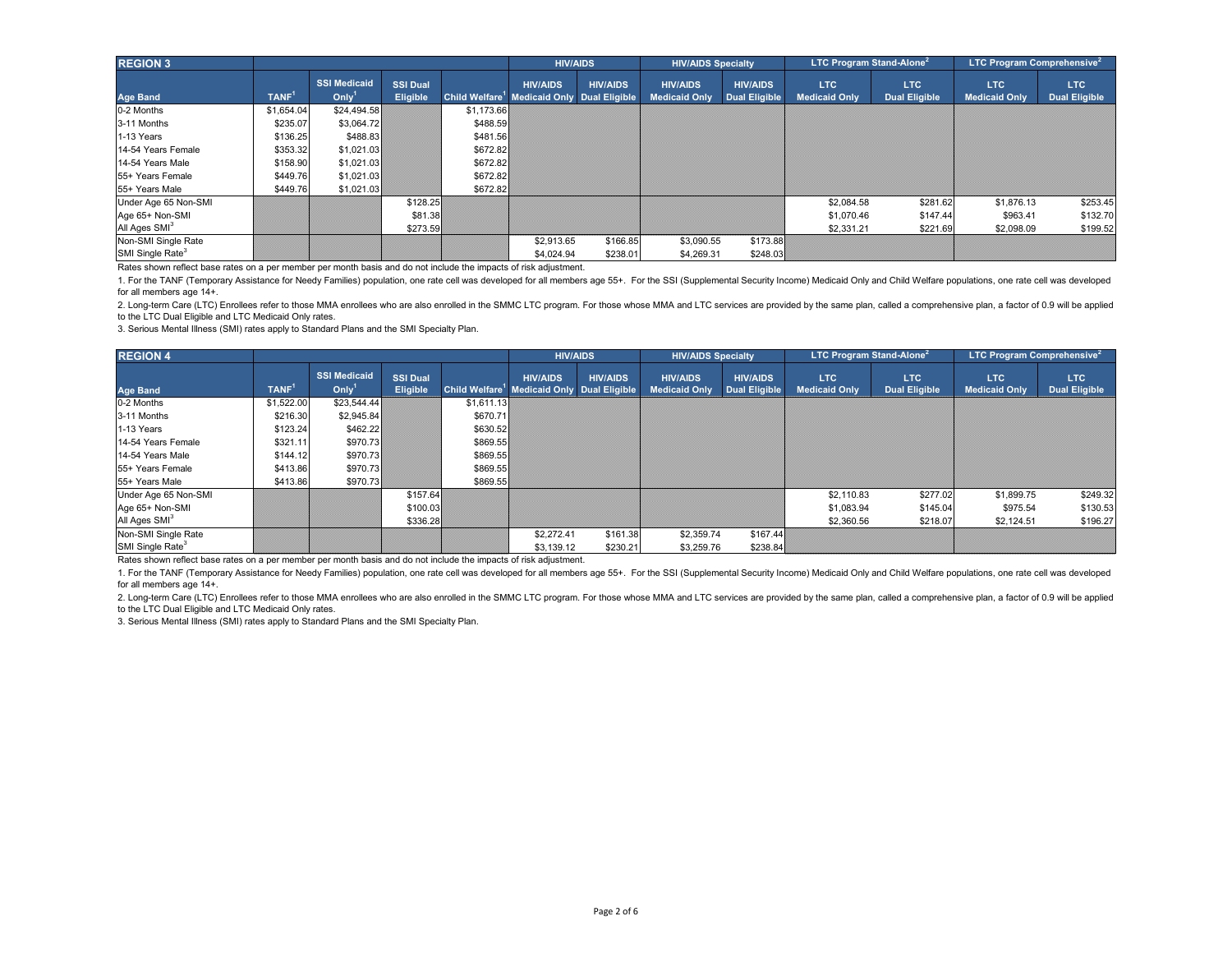| <b>REGION 3</b>                                                                                                   |                   |                                          |                                    |            | <b>HIV/AIDS</b>                                                           |                 | <b>HIV/AIDS Specialty</b>               |                                         | <b>LTC Program Stand-Alone</b> <sup>2</sup> |                              | <b>LTC Program Comprehensive</b> <sup>2</sup> |                             |
|-------------------------------------------------------------------------------------------------------------------|-------------------|------------------------------------------|------------------------------------|------------|---------------------------------------------------------------------------|-----------------|-----------------------------------------|-----------------------------------------|---------------------------------------------|------------------------------|-----------------------------------------------|-----------------------------|
| <b>Age Band</b>                                                                                                   | TANF <sup>1</sup> | <b>SSI Medicaid</b><br>Oniv <sup>1</sup> | <b>SSI Dual</b><br><b>Eligible</b> |            | <b>HIV/AIDS</b><br>Child Welfare <sup>1</sup> Medicaid Only Dual Eligible | <b>HIV/AIDS</b> | <b>HIV/AIDS</b><br><b>Medicaid Only</b> | <b>HIV/AIDS</b><br><b>Dual Eligible</b> | <b>LTC</b><br><b>Medicaid Only</b>          | LTC.<br><b>Dual Eligible</b> | LTC<br><b>Medicaid Only</b>                   | LTC<br><b>Dual Eligible</b> |
| 0-2 Months                                                                                                        | \$1,654.04        | \$24,494.58                              |                                    | \$1,173.66 |                                                                           |                 |                                         |                                         |                                             |                              |                                               |                             |
| 3-11 Months                                                                                                       | \$235.07          | \$3.064.72                               |                                    | \$488.59   |                                                                           |                 |                                         |                                         |                                             |                              |                                               |                             |
| 1-13 Years                                                                                                        | \$136.25          | \$488.83                                 |                                    | \$481.56   |                                                                           |                 |                                         |                                         |                                             |                              |                                               |                             |
| 14-54 Years Female                                                                                                | \$353.32          | \$1,021.03                               |                                    | \$672.82   |                                                                           |                 |                                         |                                         |                                             |                              |                                               |                             |
| 14-54 Years Male                                                                                                  | \$158.90          | \$1,021.03                               |                                    | \$672.82   |                                                                           |                 |                                         |                                         |                                             |                              |                                               |                             |
| 55+ Years Female                                                                                                  | \$449.76          | \$1,021.03                               |                                    | \$672.82   |                                                                           |                 |                                         |                                         |                                             |                              |                                               |                             |
| 55+ Years Male                                                                                                    | \$449.76          | \$1,021.03                               |                                    | \$672.82   |                                                                           |                 |                                         |                                         |                                             |                              |                                               |                             |
| Under Age 65 Non-SMI                                                                                              |                   |                                          | \$128.25                           |            |                                                                           |                 |                                         |                                         | \$2,084.58                                  | \$281.62                     | \$1,876.13                                    | \$253.45                    |
| Age 65+ Non-SMI                                                                                                   |                   |                                          | \$81.38                            |            |                                                                           |                 |                                         |                                         | \$1,070.46                                  | \$147.44                     | \$963.41                                      | \$132.70                    |
| All Ages SMI <sup>3</sup>                                                                                         |                   |                                          | \$273.59                           |            |                                                                           |                 |                                         |                                         | \$2,331.21                                  | \$221.69                     | \$2,098.09                                    | \$199.52                    |
| Non-SMI Single Rate                                                                                               |                   |                                          |                                    |            | \$2,913.65                                                                | \$166.85        | \$3,090.55                              | \$173.88                                |                                             |                              |                                               |                             |
| SMI Single Rate <sup>3</sup>                                                                                      |                   |                                          |                                    |            | \$4.024.94                                                                | \$238.01        | \$4,269.31                              | \$248.03                                |                                             |                              |                                               |                             |
| Rates shown reflect base rates on a per member per month basis and do not include the impacts of risk adjustment. |                   |                                          |                                    |            |                                                                           |                 |                                         |                                         |                                             |                              |                                               |                             |

2. Long-term Care (LTC) Enrollees refer to those MMA enrollees who are also enrolled in the SMMC LTC program. For those whose MMA and LTC services are provided by the same plan, called a comprehensive plan, a factor of 0.9 to the LTC Dual Eligible and LTC Medicaid Only rates.

3. Serious Mental Illness (SMI) rates apply to Standard Plans and the SMI Specialty Plan.

| <b>REGION 4</b>                                                                                                   |                   |                                |                                    |            | <b>HIV/AIDS</b>                                                           |                 | <b>HIV/AIDS Specialty</b>               |                                         | <b>LTC Program Stand-Alone<sup>2</sup></b> |                                    | <b>LTC Program Comprehensive</b> <sup>2</sup> |                                    |
|-------------------------------------------------------------------------------------------------------------------|-------------------|--------------------------------|------------------------------------|------------|---------------------------------------------------------------------------|-----------------|-----------------------------------------|-----------------------------------------|--------------------------------------------|------------------------------------|-----------------------------------------------|------------------------------------|
| <b>Age Band</b>                                                                                                   | TANF <sup>1</sup> | <b>SSI Medicaid</b><br>$On l1$ | <b>SSI Dual</b><br><b>Eligible</b> |            | <b>HIV/AIDS</b><br>Child Welfare <sup>1</sup> Medicaid Only Dual Eligible | <b>HIV/AIDS</b> | <b>HIV/AIDS</b><br><b>Medicaid Only</b> | <b>HIV/AIDS</b><br><b>Dual Eligible</b> | <b>LTC</b><br><b>Medicaid Only</b>         | <b>LTC</b><br><b>Dual Eligible</b> | <b>LTC</b><br><b>Medicaid Only</b>            | <b>LTC</b><br><b>Dual Eligible</b> |
| 0-2 Months                                                                                                        | \$1,522.00        | \$23,544.44                    |                                    | \$1.611.13 |                                                                           |                 |                                         |                                         |                                            |                                    |                                               |                                    |
| 3-11 Months                                                                                                       | \$216.30          | \$2,945.84                     |                                    | \$670.71   |                                                                           |                 |                                         |                                         |                                            |                                    |                                               |                                    |
| 1-13 Years                                                                                                        | \$123.24          | \$462.22                       |                                    | \$630.52   |                                                                           |                 |                                         |                                         |                                            |                                    |                                               |                                    |
| 14-54 Years Female                                                                                                | \$321.11          | \$970.73                       |                                    | \$869.55   |                                                                           |                 |                                         |                                         |                                            |                                    |                                               |                                    |
| 14-54 Years Male                                                                                                  | \$144.12          | \$970.73                       |                                    | \$869.55   |                                                                           |                 |                                         |                                         |                                            |                                    |                                               |                                    |
| 55+ Years Female                                                                                                  | \$413.86          | \$970.73                       |                                    | \$869.55   |                                                                           |                 |                                         |                                         |                                            |                                    |                                               |                                    |
| 55+ Years Male                                                                                                    | \$413.86          | \$970.73                       |                                    | \$869.55   |                                                                           |                 |                                         |                                         |                                            |                                    |                                               |                                    |
| Under Age 65 Non-SMI                                                                                              |                   |                                | \$157.64                           |            |                                                                           |                 |                                         |                                         | \$2,110.83                                 | \$277.02                           | \$1,899.75                                    | \$249.32                           |
| Age 65+ Non-SMI                                                                                                   |                   |                                | \$100.03                           |            |                                                                           |                 |                                         |                                         | \$1,083.94                                 | \$145.04                           | \$975.54                                      | \$130.53                           |
| All Ages SMI <sup>3</sup>                                                                                         |                   |                                | \$336.28                           |            |                                                                           |                 |                                         |                                         | \$2,360.56                                 | \$218.07                           | \$2,124.51                                    | \$196.27                           |
| Non-SMI Single Rate                                                                                               |                   |                                |                                    |            | \$2,272.41                                                                | \$161.38        | \$2,359.74                              | \$167.44                                |                                            |                                    |                                               |                                    |
| SMI Single Rate <sup>3</sup>                                                                                      |                   |                                |                                    |            | \$3,139.12                                                                | \$230.21        | \$3,259.76                              | \$238.84                                |                                            |                                    |                                               |                                    |
| Rates shown reflect base rates on a per member per month basis and do not include the impacts of risk adjustment. |                   |                                |                                    |            |                                                                           |                 |                                         |                                         |                                            |                                    |                                               |                                    |

1. For the TANF (Temporary Assistance for Needy Families) population, one rate cell was developed for all members age 55+. For the SSI (Supplemental Security Income) Medicaid Only and Child Welfare populations, one rate ce for all members age 14+.

2. Long-term Care (LTC) Enrollees refer to those MMA enrollees who are also enrolled in the SMMC LTC program. For those whose MMA and LTC services are provided by the same plan, called a comprehensive plan, a factor of 0.9 to the LTC Dual Eligible and LTC Medicaid Only rates.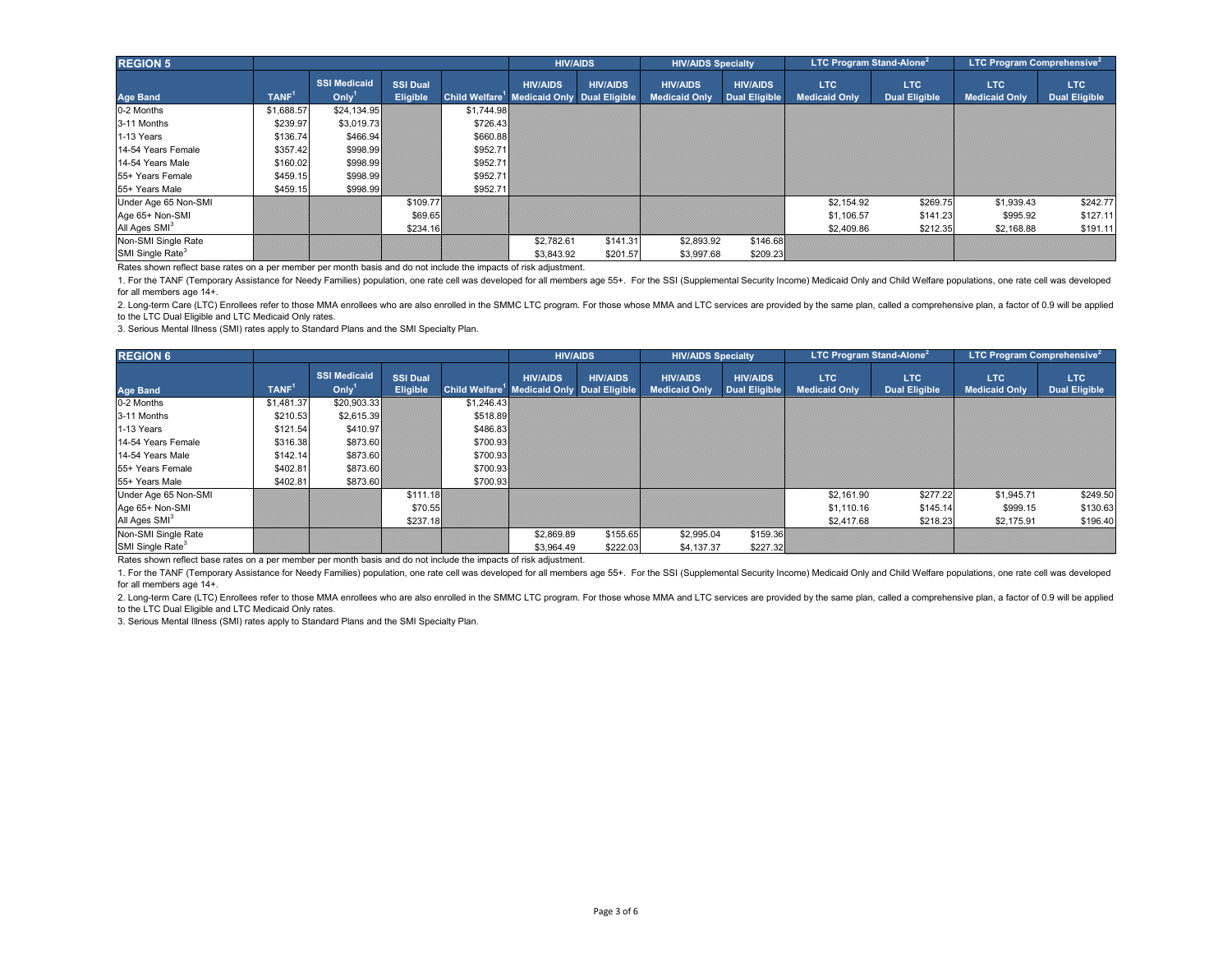| <b>REGION 5</b>                                                                                                   |                   |                                          |                                    |            | <b>HIV/AIDS</b>                                                           |                 | <b>HIV/AIDS Specialty</b>               |                                         | <b>LTC Program Stand-Alone</b> <sup>2</sup> |                              | <b>LTC Program Comprehensive</b> <sup>2</sup> |                             |
|-------------------------------------------------------------------------------------------------------------------|-------------------|------------------------------------------|------------------------------------|------------|---------------------------------------------------------------------------|-----------------|-----------------------------------------|-----------------------------------------|---------------------------------------------|------------------------------|-----------------------------------------------|-----------------------------|
| <b>Age Band</b>                                                                                                   | TANF <sup>1</sup> | <b>SSI Medicaid</b><br>Oniv <sup>1</sup> | <b>SSI Dual</b><br><b>Eligible</b> |            | <b>HIV/AIDS</b><br>Child Welfare <sup>1</sup> Medicaid Only Dual Eligible | <b>HIV/AIDS</b> | <b>HIV/AIDS</b><br><b>Medicaid Only</b> | <b>HIV/AIDS</b><br><b>Dual Eligible</b> | <b>LTC</b><br><b>Medicaid Only</b>          | LTC.<br><b>Dual Eligible</b> | LTC<br><b>Medicaid Only</b>                   | LTC<br><b>Dual Eligible</b> |
| 0-2 Months                                                                                                        | \$1,688.57        | \$24,134,95                              |                                    | \$1,744.98 |                                                                           |                 |                                         |                                         |                                             |                              |                                               |                             |
| 3-11 Months                                                                                                       | \$239.97          | \$3.019.73                               |                                    | \$726.43   |                                                                           |                 |                                         |                                         |                                             |                              |                                               |                             |
| 1-13 Years                                                                                                        | \$136.74          | \$466.94                                 |                                    | \$660.88   |                                                                           |                 |                                         |                                         |                                             |                              |                                               |                             |
| 14-54 Years Female                                                                                                | \$357.42          | \$998.99                                 |                                    | \$952.71   |                                                                           |                 |                                         |                                         |                                             |                              |                                               |                             |
| 14-54 Years Male                                                                                                  | \$160.02          | \$998.99                                 |                                    | \$952.71   |                                                                           |                 |                                         |                                         |                                             |                              |                                               |                             |
| 55+ Years Female                                                                                                  | \$459.15          | \$998.99                                 |                                    | \$952.71   |                                                                           |                 |                                         |                                         |                                             |                              |                                               |                             |
| 55+ Years Male                                                                                                    | \$459.15          | \$998.99                                 |                                    | \$952.71   |                                                                           |                 |                                         |                                         |                                             |                              |                                               |                             |
| Under Age 65 Non-SMI                                                                                              |                   |                                          | \$109.77                           |            |                                                                           |                 |                                         |                                         | \$2,154.92                                  | \$269.75                     | \$1,939.43                                    | \$242.77                    |
| Age 65+ Non-SMI                                                                                                   |                   |                                          | \$69.65                            |            |                                                                           |                 |                                         |                                         | \$1,106.57                                  | \$141.23                     | \$995.92                                      | \$127.11                    |
| All Ages SMI <sup>3</sup>                                                                                         |                   |                                          | \$234.16                           |            |                                                                           |                 |                                         |                                         | \$2,409.86                                  | \$212.35                     | \$2,168.88                                    | \$191.11                    |
| Non-SMI Single Rate                                                                                               |                   |                                          |                                    |            | \$2,782.61                                                                | \$141.31        | \$2,893.92                              | \$146.68                                |                                             |                              |                                               |                             |
| SMI Single Rate <sup>3</sup>                                                                                      |                   |                                          |                                    |            | \$3,843.92                                                                | \$201.57        | \$3,997.68                              | \$209.23                                |                                             |                              |                                               |                             |
| Rates shown reflect base rates on a per member per month basis and do not include the impacts of risk adjustment. |                   |                                          |                                    |            |                                                                           |                 |                                         |                                         |                                             |                              |                                               |                             |

2. Long-term Care (LTC) Enrollees refer to those MMA enrollees who are also enrolled in the SMMC LTC program. For those whose MMA and LTC services are provided by the same plan, called a comprehensive plan, a factor of 0.9 to the LTC Dual Eligible and LTC Medicaid Only rates.

3. Serious Mental Illness (SMI) rates apply to Standard Plans and the SMI Specialty Plan.

| <b>REGION 6</b>                                                                                                   |                   |                                                 |                             | <b>HIV/AIDS</b> |                                                                           | <b>HIV/AIDS Specialty</b> |                                         | <b>LTC Program Stand-Alone</b> <sup>2</sup> |                                    |                                    | <b>LTC Program Comprehensive</b> <sup>2</sup> |                             |
|-------------------------------------------------------------------------------------------------------------------|-------------------|-------------------------------------------------|-----------------------------|-----------------|---------------------------------------------------------------------------|---------------------------|-----------------------------------------|---------------------------------------------|------------------------------------|------------------------------------|-----------------------------------------------|-----------------------------|
| <b>Age Band</b>                                                                                                   | TANF <sup>1</sup> | <b>SSI Medicaid</b><br>On <i>l</i> <sup>1</sup> | <b>SSI Dual</b><br>Eligible |                 | <b>HIV/AIDS</b><br>Child Welfare <sup>1</sup> Medicaid Only Dual Eligible | <b>HIV/AIDS</b>           | <b>HIV/AIDS</b><br><b>Medicaid Only</b> | <b>HIV/AIDS</b><br><b>Dual Eligible</b>     | <b>LTC</b><br><b>Medicaid Only</b> | <b>LTC</b><br><b>Dual Eligible</b> | <b>LTC</b><br><b>Medicaid Only</b>            | LTC<br><b>Dual Eligible</b> |
| 0-2 Months                                                                                                        | \$1,481.37        | \$20,903.33                                     |                             | \$1,246.43      |                                                                           |                           |                                         |                                             |                                    |                                    |                                               |                             |
| 3-11 Months                                                                                                       | \$210.53          | \$2,615.39                                      |                             | \$518.89        |                                                                           |                           |                                         |                                             |                                    |                                    |                                               |                             |
| 1-13 Years                                                                                                        | \$121.54          | \$410.97                                        |                             | \$486.83        |                                                                           |                           |                                         |                                             |                                    |                                    |                                               |                             |
| 14-54 Years Female                                                                                                | \$316.38          | \$873.60                                        |                             | \$700.93        |                                                                           |                           |                                         |                                             |                                    |                                    |                                               |                             |
| 14-54 Years Male                                                                                                  | \$142.14          | \$873.60                                        |                             | \$700.93        |                                                                           |                           |                                         |                                             |                                    |                                    |                                               |                             |
| 55+ Years Female                                                                                                  | \$402.81          | \$873.60                                        |                             | \$700.93        |                                                                           |                           |                                         |                                             |                                    |                                    |                                               |                             |
| 55+ Years Male                                                                                                    | \$402.81          | \$873.60                                        |                             | \$700.93        |                                                                           |                           |                                         |                                             |                                    |                                    |                                               |                             |
| Under Age 65 Non-SMI                                                                                              |                   |                                                 | \$111.18                    |                 |                                                                           |                           |                                         |                                             | \$2,161.90                         | \$277.22                           | \$1,945.71                                    | \$249.50                    |
| Age 65+ Non-SMI                                                                                                   |                   |                                                 | \$70.55                     |                 |                                                                           |                           |                                         |                                             | \$1,110.16                         | \$145.14                           | \$999.15                                      | \$130.63                    |
| All Ages SMI <sup>3</sup>                                                                                         |                   |                                                 | \$237.18                    |                 |                                                                           |                           |                                         |                                             | \$2,417.68                         | \$218.23                           | \$2,175.91                                    | \$196.40                    |
| Non-SMI Single Rate                                                                                               |                   |                                                 |                             |                 | \$2,869.89                                                                | \$155.65                  | \$2,995.04                              | \$159.36                                    |                                    |                                    |                                               |                             |
| SMI Single Rate <sup>3</sup>                                                                                      |                   |                                                 |                             |                 | \$3,964.49                                                                | \$222.03                  | \$4,137.37                              | \$227.32                                    |                                    |                                    |                                               |                             |
| Rates shown reflect base rates on a per member per month basis and do not include the impacts of risk adjustment. |                   |                                                 |                             |                 |                                                                           |                           |                                         |                                             |                                    |                                    |                                               |                             |

1. For the TANF (Temporary Assistance for Needy Families) population, one rate cell was developed for all members age 55+. For the SSI (Supplemental Security Income) Medicaid Only and Child Welfare populations, one rate ce for all members age 14+.

2. Long-term Care (LTC) Enrollees refer to those MMA enrollees who are also enrolled in the SMMC LTC program. For those whose MMA and LTC services are provided by the same plan, called a comprehensive plan, a factor of 0.9 to the LTC Dual Eligible and LTC Medicaid Only rates.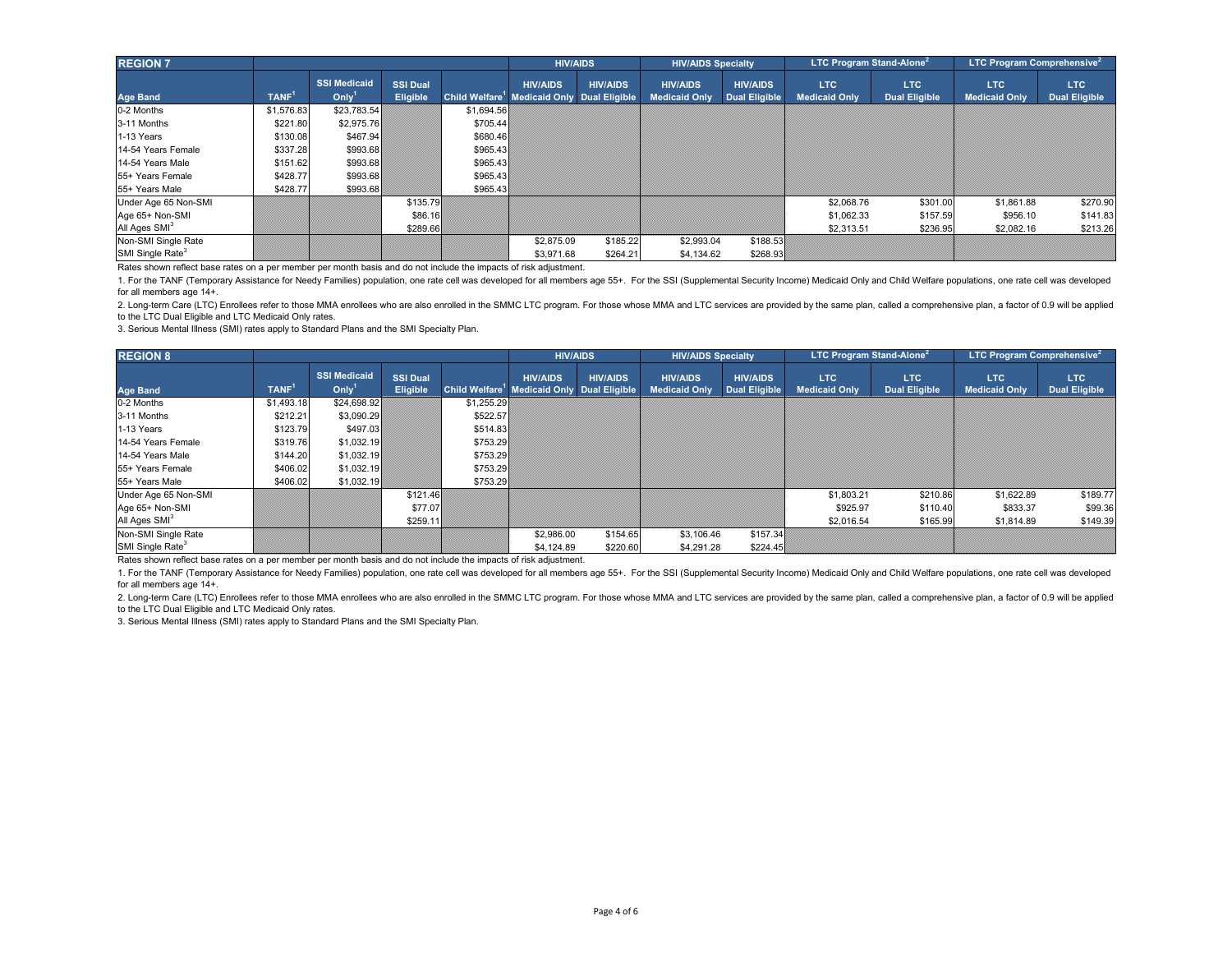| <b>REGION 7</b>                                                                                                   |                   |                                          |                                    |            | <b>HIV/AIDS</b>                                                           |                 | <b>HIV/AIDS Specialty</b>               |                                         | <b>LTC Program Stand-Alone</b> <sup>2</sup> |                              | <b>LTC Program Comprehensive</b> <sup>2</sup> |                             |
|-------------------------------------------------------------------------------------------------------------------|-------------------|------------------------------------------|------------------------------------|------------|---------------------------------------------------------------------------|-----------------|-----------------------------------------|-----------------------------------------|---------------------------------------------|------------------------------|-----------------------------------------------|-----------------------------|
| <b>Age Band</b>                                                                                                   | TANF <sup>1</sup> | <b>SSI Medicaid</b><br>Oniv <sup>1</sup> | <b>SSI Dual</b><br><b>Eligible</b> |            | <b>HIV/AIDS</b><br>Child Welfare <sup>1</sup> Medicaid Only Dual Eligible | <b>HIV/AIDS</b> | <b>HIV/AIDS</b><br><b>Medicaid Only</b> | <b>HIV/AIDS</b><br><b>Dual Eligible</b> | <b>LTC</b><br><b>Medicaid Only</b>          | LTC.<br><b>Dual Eligible</b> | <b>LTC</b><br><b>Medicaid Only</b>            | LTC<br><b>Dual Eligible</b> |
| 0-2 Months                                                                                                        | \$1,576.83        | \$23,783.54                              |                                    | \$1,694.56 |                                                                           |                 |                                         |                                         |                                             |                              |                                               |                             |
| 3-11 Months                                                                                                       | \$221.80          | \$2,975.76                               |                                    | \$705.44   |                                                                           |                 |                                         |                                         |                                             |                              |                                               |                             |
| 1-13 Years                                                                                                        | \$130.08          | \$467.94                                 |                                    | \$680.46   |                                                                           |                 |                                         |                                         |                                             |                              |                                               |                             |
| 14-54 Years Female                                                                                                | \$337.28          | \$993.68                                 |                                    | \$965.43   |                                                                           |                 |                                         |                                         |                                             |                              |                                               |                             |
| 14-54 Years Male                                                                                                  | \$151.62          | \$993.68                                 |                                    | \$965.43   |                                                                           |                 |                                         |                                         |                                             |                              |                                               |                             |
| 55+ Years Female                                                                                                  | \$428.77          | \$993.68                                 |                                    | \$965.43   |                                                                           |                 |                                         |                                         |                                             |                              |                                               |                             |
| 55+ Years Male                                                                                                    | \$428.77          | \$993.68                                 |                                    | \$965.43   |                                                                           |                 |                                         |                                         |                                             |                              |                                               |                             |
| Under Age 65 Non-SMI                                                                                              |                   |                                          | \$135.79                           |            |                                                                           |                 |                                         |                                         | \$2,068.76                                  | \$301.00                     | \$1,861.88                                    | \$270.90                    |
| Age 65+ Non-SMI                                                                                                   |                   |                                          | \$86.16                            |            |                                                                           |                 |                                         |                                         | \$1,062.33                                  | \$157.59                     | \$956.10                                      | \$141.83                    |
| All Ages SMI <sup>3</sup>                                                                                         |                   |                                          | \$289.66                           |            |                                                                           |                 |                                         |                                         | \$2,313.51                                  | \$236.95                     | \$2,082.16                                    | \$213.26                    |
| Non-SMI Single Rate                                                                                               |                   |                                          |                                    |            | \$2,875.09                                                                | \$185.22        | \$2,993.04                              | \$188.53                                |                                             |                              |                                               |                             |
| SMI Single Rate <sup>3</sup>                                                                                      |                   |                                          |                                    |            | \$3.971.68                                                                | \$264.21        | \$4,134.62                              | \$268.93                                |                                             |                              |                                               |                             |
| Rates shown reflect base rates on a per member per month basis and do not include the impacts of risk adjustment. |                   |                                          |                                    |            |                                                                           |                 |                                         |                                         |                                             |                              |                                               |                             |

2. Long-term Care (LTC) Enrollees refer to those MMA enrollees who are also enrolled in the SMMC LTC program. For those whose MMA and LTC services are provided by the same plan, called a comprehensive plan, a factor of 0.9 to the LTC Dual Eligible and LTC Medicaid Only rates.

3. Serious Mental Illness (SMI) rates apply to Standard Plans and the SMI Specialty Plan.

| <b>REGION 8</b>                                                                                                   |                   |                                                 |                             |            | <b>HIV/AIDS</b>                                                           |                 | <b>HIV/AIDS Specialty</b>               |                                         | <b>LTC Program Stand-Alone</b> <sup>2</sup> |                                    |                                    | <b>LTC Program Comprehensive</b> <sup>2</sup> |
|-------------------------------------------------------------------------------------------------------------------|-------------------|-------------------------------------------------|-----------------------------|------------|---------------------------------------------------------------------------|-----------------|-----------------------------------------|-----------------------------------------|---------------------------------------------|------------------------------------|------------------------------------|-----------------------------------------------|
| <b>Age Band</b>                                                                                                   | TANF <sup>1</sup> | <b>SSI Medicaid</b><br>On <i>l</i> <sup>1</sup> | <b>SSI Dual</b><br>Eligible |            | <b>HIV/AIDS</b><br>Child Welfare <sup>1</sup> Medicaid Only Dual Eligible | <b>HIV/AIDS</b> | <b>HIV/AIDS</b><br><b>Medicaid Only</b> | <b>HIV/AIDS</b><br><b>Dual Eligible</b> | <b>LTC</b><br><b>Medicaid Only</b>          | <b>LTC</b><br><b>Dual Eligible</b> | <b>LTC</b><br><b>Medicaid Only</b> | LTC<br><b>Dual Eligible</b>                   |
| 0-2 Months                                                                                                        | \$1,493.18        | \$24,698.92                                     |                             | \$1,255.29 |                                                                           |                 |                                         |                                         |                                             |                                    |                                    |                                               |
| 3-11 Months                                                                                                       | \$212.21          | \$3,090.29                                      |                             | \$522.57   |                                                                           |                 |                                         |                                         |                                             |                                    |                                    |                                               |
| 1-13 Years                                                                                                        | \$123.79          | \$497.03                                        |                             | \$514.83   |                                                                           |                 |                                         |                                         |                                             |                                    |                                    |                                               |
| 14-54 Years Female                                                                                                | \$319.76          | \$1,032.19                                      |                             | \$753.29   |                                                                           |                 |                                         |                                         |                                             |                                    |                                    |                                               |
| 14-54 Years Male                                                                                                  | \$144.20          | \$1,032.19                                      |                             | \$753.29   |                                                                           |                 |                                         |                                         |                                             |                                    |                                    |                                               |
| 55+ Years Female                                                                                                  | \$406.02          | \$1,032.19                                      |                             | \$753.29   |                                                                           |                 |                                         |                                         |                                             |                                    |                                    |                                               |
| 55+ Years Male                                                                                                    | \$406.02          | \$1,032.19                                      |                             | \$753.29   |                                                                           |                 |                                         |                                         |                                             |                                    |                                    |                                               |
| Under Age 65 Non-SMI                                                                                              |                   |                                                 | \$121.46                    |            |                                                                           |                 |                                         |                                         | \$1,803.21                                  | \$210.86                           | \$1,622.89                         | \$189.77                                      |
| Age 65+ Non-SMI                                                                                                   |                   |                                                 | \$77.07                     |            |                                                                           |                 |                                         |                                         | \$925.97                                    | \$110.40                           | \$833.37                           | \$99.36                                       |
| All Ages SMI <sup>3</sup>                                                                                         |                   |                                                 | \$259.11                    |            |                                                                           |                 |                                         |                                         | \$2,016.54                                  | \$165.99                           | \$1,814.89                         | \$149.39                                      |
| Non-SMI Single Rate                                                                                               |                   |                                                 |                             |            | \$2,986.00                                                                | \$154.65        | \$3,106.46                              | \$157.34                                |                                             |                                    |                                    |                                               |
| SMI Single Rate <sup>3</sup>                                                                                      |                   |                                                 |                             |            | \$4,124.89                                                                | \$220.60        | \$4,291.28                              | \$224.45                                |                                             |                                    |                                    |                                               |
| Rates shown reflect base rates on a per member per month basis and do not include the impacts of risk adjustment. |                   |                                                 |                             |            |                                                                           |                 |                                         |                                         |                                             |                                    |                                    |                                               |

1. For the TANF (Temporary Assistance for Needy Families) population, one rate cell was developed for all members age 55+. For the SSI (Supplemental Security Income) Medicaid Only and Child Welfare populations, one rate ce for all members age 14+.

2. Long-term Care (LTC) Enrollees refer to those MMA enrollees who are also enrolled in the SMMC LTC program. For those whose MMA and LTC services are provided by the same plan, called a comprehensive plan, a factor of 0.9 to the LTC Dual Eligible and LTC Medicaid Only rates.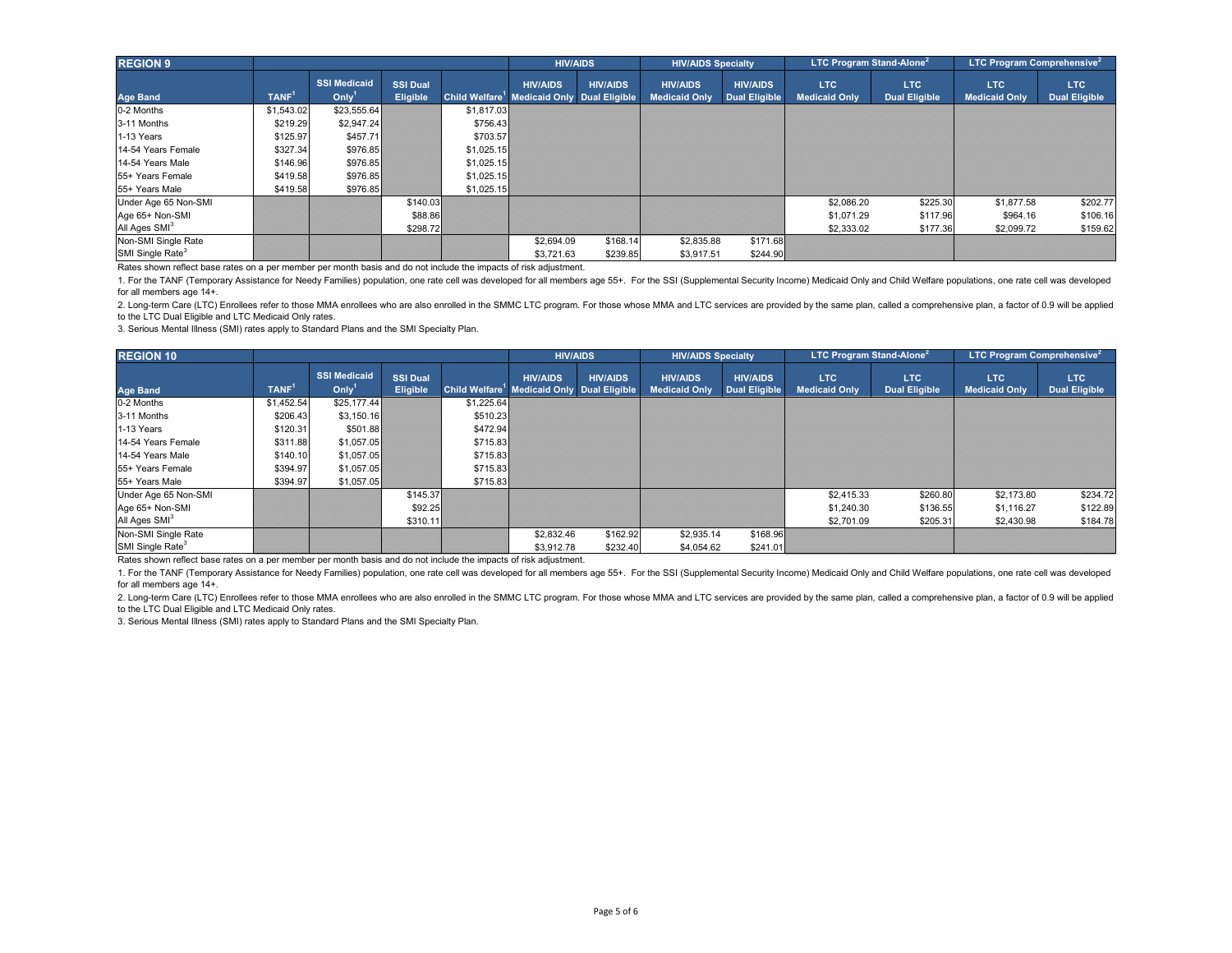| <b>REGION 9</b>                                                                                                   |                   |                                          |                                    |            | <b>HIV/AIDS</b>                                                           |                 | <b>HIV/AIDS Specialty</b>               |                                         | <b>LTC Program Stand-Alone</b> <sup>2</sup> |                              | <b>LTC Program Comprehensive</b> <sup>2</sup> |                             |
|-------------------------------------------------------------------------------------------------------------------|-------------------|------------------------------------------|------------------------------------|------------|---------------------------------------------------------------------------|-----------------|-----------------------------------------|-----------------------------------------|---------------------------------------------|------------------------------|-----------------------------------------------|-----------------------------|
| <b>Age Band</b>                                                                                                   | TANF <sup>1</sup> | <b>SSI Medicaid</b><br>Oniv <sup>1</sup> | <b>SSI Dual</b><br><b>Eligible</b> |            | <b>HIV/AIDS</b><br>Child Welfare <sup>1</sup> Medicaid Only Dual Eligible | <b>HIV/AIDS</b> | <b>HIV/AIDS</b><br><b>Medicaid Only</b> | <b>HIV/AIDS</b><br><b>Dual Eligible</b> | <b>LTC</b><br><b>Medicaid Only</b>          | LTC.<br><b>Dual Eligible</b> | <b>LTC</b><br><b>Medicaid Only</b>            | LTC<br><b>Dual Eligible</b> |
| 0-2 Months                                                                                                        | \$1,543.02        | \$23,555.64                              |                                    | \$1,817.03 |                                                                           |                 |                                         |                                         |                                             |                              |                                               |                             |
| 3-11 Months                                                                                                       | \$219.29          | \$2,947.24                               |                                    | \$756.43   |                                                                           |                 |                                         |                                         |                                             |                              |                                               |                             |
| 1-13 Years                                                                                                        | \$125.97          | \$457.71                                 |                                    | \$703.57   |                                                                           |                 |                                         |                                         |                                             |                              |                                               |                             |
| 14-54 Years Female                                                                                                | \$327.34          | \$976.85                                 |                                    | \$1,025.15 |                                                                           |                 |                                         |                                         |                                             |                              |                                               |                             |
| 14-54 Years Male                                                                                                  | \$146.96          | \$976.85                                 |                                    | \$1,025.15 |                                                                           |                 |                                         |                                         |                                             |                              |                                               |                             |
| 55+ Years Female                                                                                                  | \$419.58          | \$976.85                                 |                                    | \$1,025.15 |                                                                           |                 |                                         |                                         |                                             |                              |                                               |                             |
| 55+ Years Male                                                                                                    | \$419.58          | \$976.85                                 |                                    | \$1,025.15 |                                                                           |                 |                                         |                                         |                                             |                              |                                               |                             |
| Under Age 65 Non-SMI                                                                                              |                   |                                          | \$140.03                           |            |                                                                           |                 |                                         |                                         | \$2,086.20                                  | \$225.30                     | \$1,877.58                                    | \$202.77                    |
| Age 65+ Non-SMI                                                                                                   |                   |                                          | \$88.86                            |            |                                                                           |                 |                                         |                                         | \$1,071.29                                  | \$117.96                     | \$964.16                                      | \$106.16                    |
| All Ages SMI <sup>3</sup>                                                                                         |                   |                                          | \$298.72                           |            |                                                                           |                 |                                         |                                         | \$2,333.02                                  | \$177.36                     | \$2,099.72                                    | \$159.62                    |
| Non-SMI Single Rate                                                                                               |                   |                                          |                                    |            | \$2,694.09                                                                | \$168.14        | \$2,835.88                              | \$171.68                                |                                             |                              |                                               |                             |
| SMI Single Rate <sup>3</sup>                                                                                      |                   |                                          |                                    |            | \$3.721.63                                                                | \$239.85        | \$3,917.51                              | \$244.90                                |                                             |                              |                                               |                             |
| Rates shown reflect base rates on a per member per month basis and do not include the impacts of risk adjustment. |                   |                                          |                                    |            |                                                                           |                 |                                         |                                         |                                             |                              |                                               |                             |

2. Long-term Care (LTC) Enrollees refer to those MMA enrollees who are also enrolled in the SMMC LTC program. For those whose MMA and LTC services are provided by the same plan, called a comprehensive plan, a factor of 0.9 to the LTC Dual Eligible and LTC Medicaid Only rates.

3. Serious Mental Illness (SMI) rates apply to Standard Plans and the SMI Specialty Plan.

| <b>REGION 10</b>                                                                                                  |                   |                                                 |                             | <b>HIV/AIDS</b> |                                                                           | <b>HIV/AIDS Specialty</b> |                                         | <b>LTC Program Stand-Alone</b> <sup>2</sup> |                                    |                                    | <b>LTC Program Comprehensive</b> <sup>2</sup> |                             |
|-------------------------------------------------------------------------------------------------------------------|-------------------|-------------------------------------------------|-----------------------------|-----------------|---------------------------------------------------------------------------|---------------------------|-----------------------------------------|---------------------------------------------|------------------------------------|------------------------------------|-----------------------------------------------|-----------------------------|
| <b>Age Band</b>                                                                                                   | TANF <sup>1</sup> | <b>SSI Medicaid</b><br>On <i>l</i> <sup>1</sup> | <b>SSI Dual</b><br>Eligible |                 | <b>HIV/AIDS</b><br>Child Welfare <sup>1</sup> Medicaid Only Dual Eligible | <b>HIV/AIDS</b>           | <b>HIV/AIDS</b><br><b>Medicaid Only</b> | <b>HIV/AIDS</b><br><b>Dual Eligible</b>     | <b>LTC</b><br><b>Medicaid Only</b> | <b>LTC</b><br><b>Dual Eligible</b> | <b>LTC</b><br><b>Medicaid Only</b>            | LTC<br><b>Dual Eligible</b> |
| 0-2 Months                                                                                                        | \$1,452.54        | \$25,177,44                                     |                             | \$1,225.64      |                                                                           |                           |                                         |                                             |                                    |                                    |                                               |                             |
| 3-11 Months                                                                                                       | \$206.43          | \$3,150.16                                      |                             | \$510.23        |                                                                           |                           |                                         |                                             |                                    |                                    |                                               |                             |
| 1-13 Years                                                                                                        | \$120.31          | \$501.88                                        |                             | \$472.94        |                                                                           |                           |                                         |                                             |                                    |                                    |                                               |                             |
| 14-54 Years Female                                                                                                | \$311.88          | \$1,057.05                                      |                             | \$715.83        |                                                                           |                           |                                         |                                             |                                    |                                    |                                               |                             |
| 14-54 Years Male                                                                                                  | \$140.10          | \$1,057.05                                      |                             | \$715.83        |                                                                           |                           |                                         |                                             |                                    |                                    |                                               |                             |
| 55+ Years Female                                                                                                  | \$394.97          | \$1,057.05                                      |                             | \$715.83        |                                                                           |                           |                                         |                                             |                                    |                                    |                                               |                             |
| 55+ Years Male                                                                                                    | \$394.97          | \$1,057.05                                      |                             | \$715.83        |                                                                           |                           |                                         |                                             |                                    |                                    |                                               |                             |
| Under Age 65 Non-SMI                                                                                              |                   |                                                 | \$145.37                    |                 |                                                                           |                           |                                         |                                             | \$2,415.33                         | \$260.80                           | \$2,173.80                                    | \$234.72                    |
| Age 65+ Non-SMI                                                                                                   |                   |                                                 | \$92.25                     |                 |                                                                           |                           |                                         |                                             | \$1,240.30                         | \$136.55                           | \$1,116.27                                    | \$122.89                    |
| All Ages SMI <sup>3</sup>                                                                                         |                   |                                                 | \$310.11                    |                 |                                                                           |                           |                                         |                                             | \$2,701.09                         | \$205.31                           | \$2,430.98                                    | \$184.78                    |
| Non-SMI Single Rate                                                                                               |                   |                                                 |                             |                 | \$2,832.46                                                                | \$162.92                  | \$2,935.14                              | \$168.96                                    |                                    |                                    |                                               |                             |
| SMI Single Rate <sup>3</sup>                                                                                      |                   |                                                 |                             |                 | \$3,912.78                                                                | \$232.40                  | \$4,054.62                              | \$241.01                                    |                                    |                                    |                                               |                             |
| Rates shown reflect base rates on a per member per month basis and do not include the impacts of risk adjustment. |                   |                                                 |                             |                 |                                                                           |                           |                                         |                                             |                                    |                                    |                                               |                             |

1. For the TANF (Temporary Assistance for Needy Families) population, one rate cell was developed for all members age 55+. For the SSI (Supplemental Security Income) Medicaid Only and Child Welfare populations, one rate ce for all members age 14+.

2. Long-term Care (LTC) Enrollees refer to those MMA enrollees who are also enrolled in the SMMC LTC program. For those whose MMA and LTC services are provided by the same plan, called a comprehensive plan, a factor of 0.9 to the LTC Dual Eligible and LTC Medicaid Only rates.